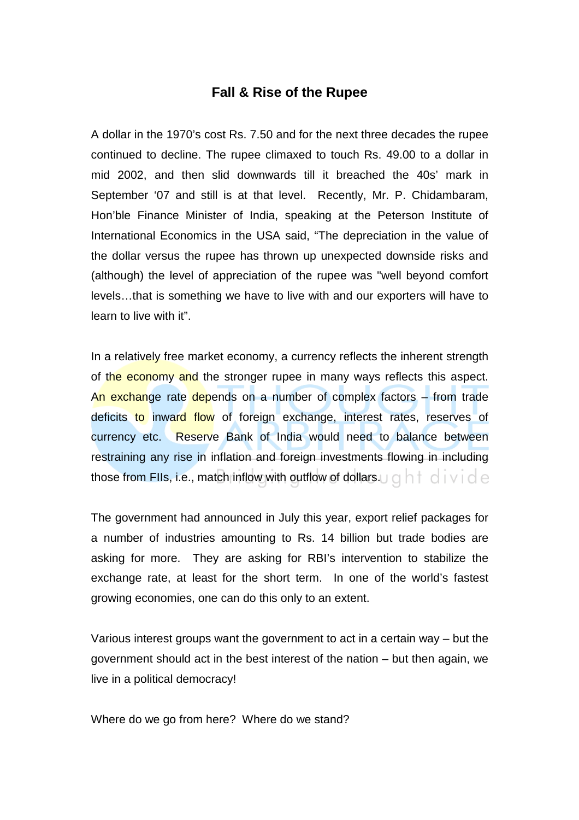## **Fall & Rise of the Rupee**

A dollar in the 1970's cost Rs. 7.50 and for the next three decades the rupee continued to decline. The rupee climaxed to touch Rs. 49.00 to a dollar in mid 2002, and then slid downwards till it breached the 40s' mark in September '07 and still is at that level. Recently, Mr. P. Chidambaram, Hon'ble Finance Minister of India, speaking at the Peterson Institute of International Economics in the USA said, "The depreciation in the value of the dollar versus the rupee has thrown up unexpected downside risks and (although) the level of appreciation of the rupee was "well beyond comfort levels…that is something we have to live with and our exporters will have to learn to live with it".

In a relatively free market economy, a currency reflects the inherent strength of the economy and the stronger rupee in many ways reflects this aspect. An exchange rate depends on a number of complex factors – from trade deficits to inward flow of foreign exchange, interest rates, reserves of currency etc. Reserve Bank of India would need to balance between restraining any rise in inflation and foreign investments flowing in including those from FIIs, i.e., match inflow with outflow of dollars.  $\cup \cap \cap \cap \cup \cap \cup \cap$ 

The government had announced in July this year, export relief packages for a number of industries amounting to Rs. 14 billion but trade bodies are asking for more. They are asking for RBI's intervention to stabilize the exchange rate, at least for the short term. In one of the world's fastest growing economies, one can do this only to an extent.

Various interest groups want the government to act in a certain way – but the government should act in the best interest of the nation – but then again, we live in a political democracy!

Where do we go from here? Where do we stand?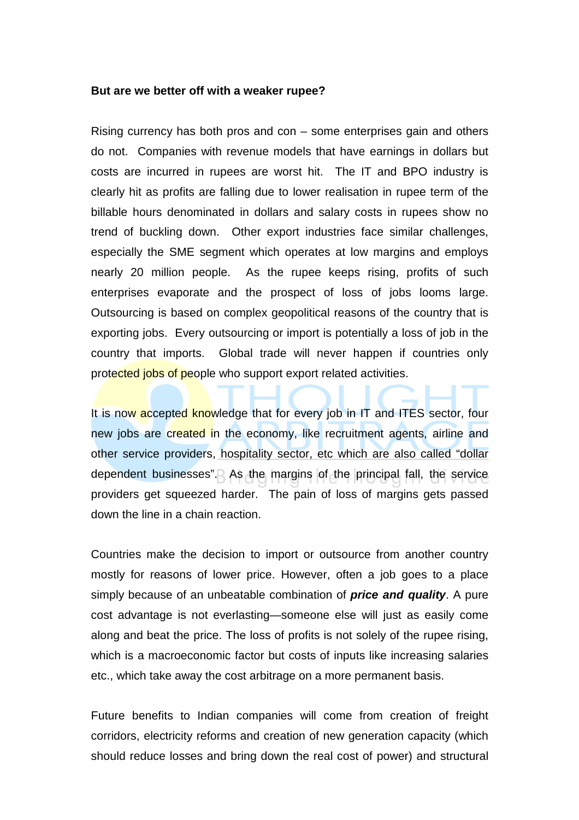## **But are we better off with a weaker rupee?**

Rising currency has both pros and con – some enterprises gain and others do not. Companies with revenue models that have earnings in dollars but costs are incurred in rupees are worst hit. The IT and BPO industry is clearly hit as profits are falling due to lower realisation in rupee term of the billable hours denominated in dollars and salary costs in rupees show no trend of buckling down. Other export industries face similar challenges, especially the SME segment which operates at low margins and employs nearly 20 million people. As the rupee keeps rising, profits of such enterprises evaporate and the prospect of loss of jobs looms large. Outsourcing is based on complex geopolitical reasons of the country that is exporting jobs. Every outsourcing or import is potentially a loss of job in the country that imports. Global trade will never happen if countries only protected jobs of people who support export related activities.

It is now accepted knowledge that for every job in IT and ITES sector, four new jobs are created in the economy, like recruitment agents, airline and other service providers, hospitality sector, etc which are also called "dollar dependent businesses". As the margins of the principal fall, the service providers get squeezed harder. The pain of loss of margins gets passed down the line in a chain reaction.

Countries make the decision to import or outsource from another country mostly for reasons of lower price. However, often a job goes to a place simply because of an unbeatable combination of **price and quality**. A pure cost advantage is not everlasting—someone else will just as easily come along and beat the price. The loss of profits is not solely of the rupee rising, which is a macroeconomic factor but costs of inputs like increasing salaries etc., which take away the cost arbitrage on a more permanent basis.

Future benefits to Indian companies will come from creation of freight corridors, electricity reforms and creation of new generation capacity (which should reduce losses and bring down the real cost of power) and structural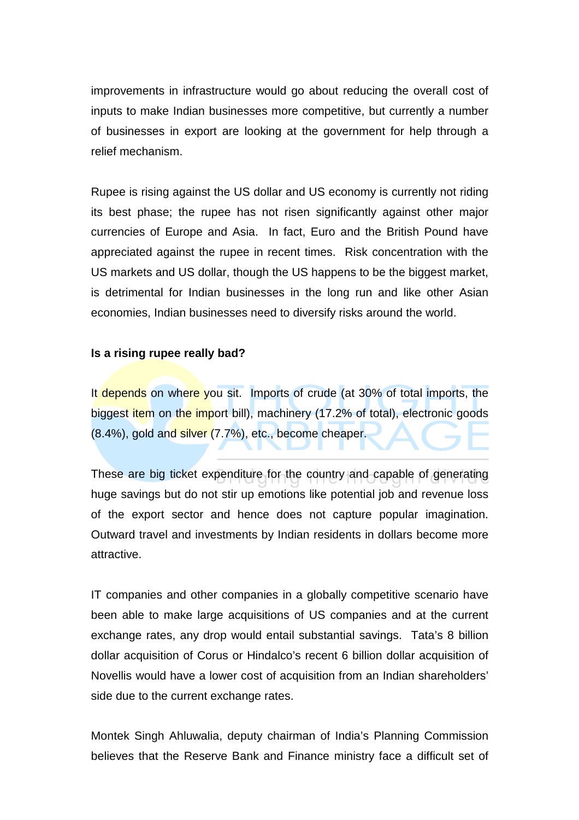improvements in infrastructure would go about reducing the overall cost of inputs to make Indian businesses more competitive, but currently a number of businesses in export are looking at the government for help through a relief mechanism.

Rupee is rising against the US dollar and US economy is currently not riding its best phase; the rupee has not risen significantly against other major currencies of Europe and Asia. In fact, Euro and the British Pound have appreciated against the rupee in recent times. Risk concentration with the US markets and US dollar, though the US happens to be the biggest market, is detrimental for Indian businesses in the long run and like other Asian economies, Indian businesses need to diversify risks around the world.

## **Is a rising rupee really bad?**

It depends on where you sit. Imports of crude (at 30% of total imports, the biggest item on the import bill), machinery (17.2% of total), electronic goods (8.4%), gold and silver (7.7%), etc., become cheaper.

These are big ticket expenditure for the country and capable of generating huge savings but do not stir up emotions like potential job and revenue loss of the export sector and hence does not capture popular imagination. Outward travel and investments by Indian residents in dollars become more attractive.

IT companies and other companies in a globally competitive scenario have been able to make large acquisitions of US companies and at the current exchange rates, any drop would entail substantial savings. Tata's 8 billion dollar acquisition of Corus or Hindalco's recent 6 billion dollar acquisition of Novellis would have a lower cost of acquisition from an Indian shareholders' side due to the current exchange rates.

Montek Singh Ahluwalia, deputy chairman of India's Planning Commission believes that the Reserve Bank and Finance ministry face a difficult set of